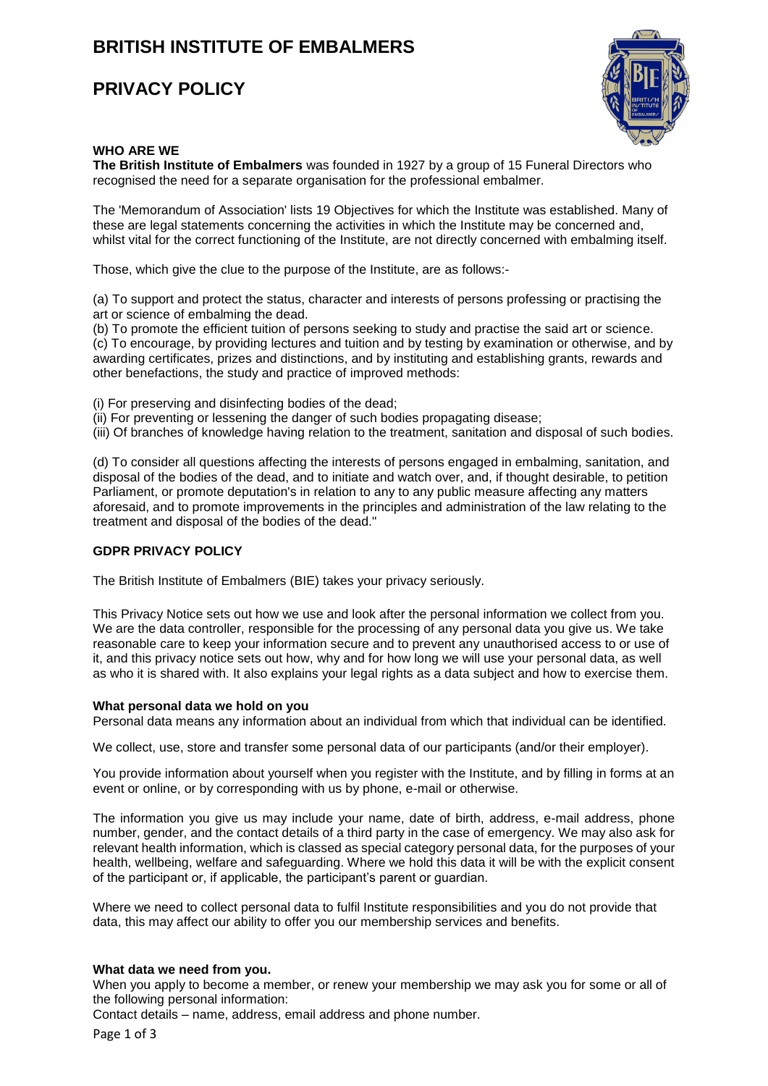# **BRITISH INSTITUTE OF EMBALMERS**

## **PRIVACY POLICY**



## **WHO ARE WE**

**The British Institute of Embalmers** was founded in 1927 by a group of 15 Funeral Directors who recognised the need for a separate organisation for the professional embalmer.

The 'Memorandum of Association' lists 19 Objectives for which the Institute was established. Many of these are legal statements concerning the activities in which the Institute may be concerned and, whilst vital for the correct functioning of the Institute, are not directly concerned with embalming itself.

Those, which give the clue to the purpose of the Institute, are as follows:-

(a) To support and protect the status, character and interests of persons professing or practising the art or science of embalming the dead.

(b) To promote the efficient tuition of persons seeking to study and practise the said art or science. (c) To encourage, by providing lectures and tuition and by testing by examination or otherwise, and by awarding certificates, prizes and distinctions, and by instituting and establishing grants, rewards and other benefactions, the study and practice of improved methods:

(i) For preserving and disinfecting bodies of the dead;

(ii) For preventing or lessening the danger of such bodies propagating disease;

(iii) Of branches of knowledge having relation to the treatment, sanitation and disposal of such bodies.

(d) To consider all questions affecting the interests of persons engaged in embalming, sanitation, and disposal of the bodies of the dead, and to initiate and watch over, and, if thought desirable, to petition Parliament, or promote deputation's in relation to any to any public measure affecting any matters aforesaid, and to promote improvements in the principles and administration of the law relating to the treatment and disposal of the bodies of the dead."

## **GDPR PRIVACY POLICY**

The British Institute of Embalmers (BIE) takes your privacy seriously.

This Privacy Notice sets out how we use and look after the personal information we collect from you. We are the data controller, responsible for the processing of any personal data you give us. We take reasonable care to keep your information secure and to prevent any unauthorised access to or use of it, and this privacy notice sets out how, why and for how long we will use your personal data, as well as who it is shared with. It also explains your legal rights as a data subject and how to exercise them.

#### **What personal data we hold on you**

Personal data means any information about an individual from which that individual can be identified.

We collect, use, store and transfer some personal data of our participants (and/or their employer).

You provide information about yourself when you register with the Institute, and by filling in forms at an event or online, or by corresponding with us by phone, e-mail or otherwise.

The information you give us may include your name, date of birth, address, e-mail address, phone number, gender, and the contact details of a third party in the case of emergency. We may also ask for relevant health information, which is classed as special category personal data, for the purposes of your health, wellbeing, welfare and safeguarding. Where we hold this data it will be with the explicit consent of the participant or, if applicable, the participant's parent or guardian.

Where we need to collect personal data to fulfil Institute responsibilities and you do not provide that data, this may affect our ability to offer you our membership services and benefits.

#### **What data we need from you.**

When you apply to become a member, or renew your membership we may ask you for some or all of the following personal information:

Contact details – name, address, email address and phone number.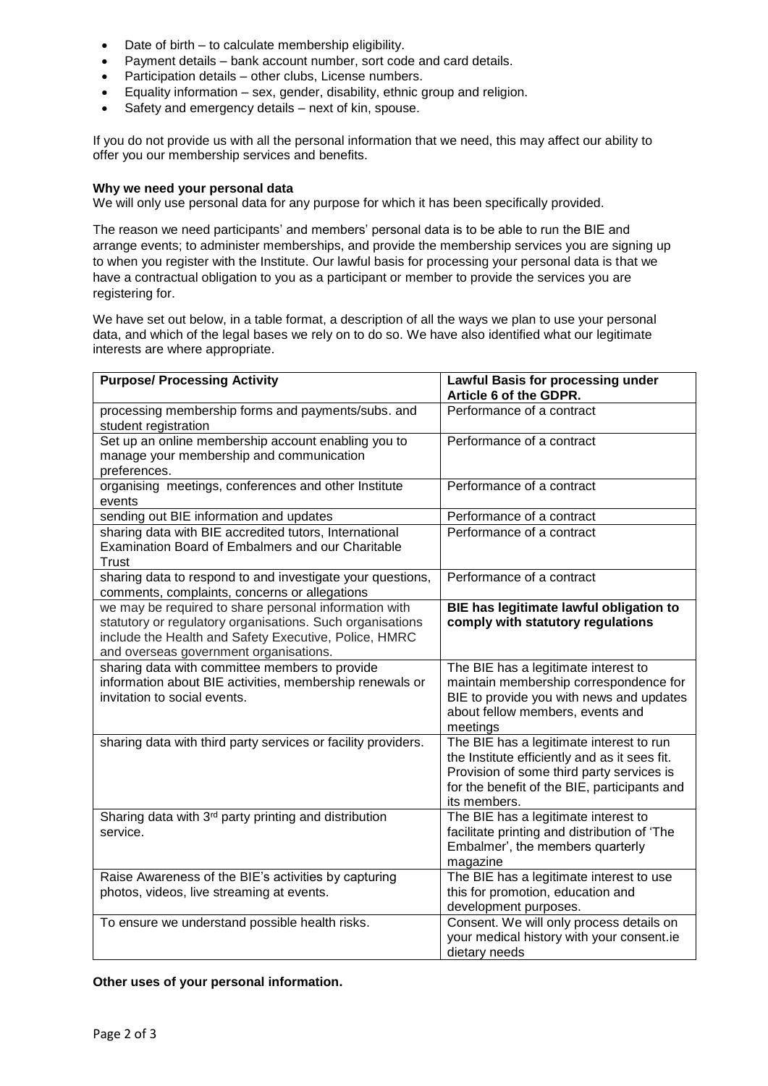- Date of birth to calculate membership eligibility.
- Payment details bank account number, sort code and card details.
- Participation details other clubs, License numbers.
- Equality information sex, gender, disability, ethnic group and religion.
- Safety and emergency details next of kin, spouse.

If you do not provide us with all the personal information that we need, this may affect our ability to offer you our membership services and benefits.

## **Why we need your personal data**

We will only use personal data for any purpose for which it has been specifically provided.

The reason we need participants' and members' personal data is to be able to run the BIE and arrange events; to administer memberships, and provide the membership services you are signing up to when you register with the Institute. Our lawful basis for processing your personal data is that we have a contractual obligation to you as a participant or member to provide the services you are registering for.

We have set out below, in a table format, a description of all the ways we plan to use your personal data, and which of the legal bases we rely on to do so. We have also identified what our legitimate interests are where appropriate.

| <b>Purpose/ Processing Activity</b>                                                                                                                                                                                   | Lawful Basis for processing under<br>Article 6 of the GDPR.                                                                                                                                            |
|-----------------------------------------------------------------------------------------------------------------------------------------------------------------------------------------------------------------------|--------------------------------------------------------------------------------------------------------------------------------------------------------------------------------------------------------|
| processing membership forms and payments/subs. and<br>student registration                                                                                                                                            | Performance of a contract                                                                                                                                                                              |
| Set up an online membership account enabling you to<br>manage your membership and communication<br>preferences.                                                                                                       | Performance of a contract                                                                                                                                                                              |
| organising meetings, conferences and other Institute<br>events                                                                                                                                                        | Performance of a contract                                                                                                                                                                              |
| sending out BIE information and updates                                                                                                                                                                               | Performance of a contract                                                                                                                                                                              |
| sharing data with BIE accredited tutors, International<br>Examination Board of Embalmers and our Charitable<br>Trust                                                                                                  | Performance of a contract                                                                                                                                                                              |
| sharing data to respond to and investigate your questions,<br>comments, complaints, concerns or allegations                                                                                                           | Performance of a contract                                                                                                                                                                              |
| we may be required to share personal information with<br>statutory or regulatory organisations. Such organisations<br>include the Health and Safety Executive, Police, HMRC<br>and overseas government organisations. | BIE has legitimate lawful obligation to<br>comply with statutory regulations                                                                                                                           |
| sharing data with committee members to provide<br>information about BIE activities, membership renewals or<br>invitation to social events.                                                                            | The BIE has a legitimate interest to<br>maintain membership correspondence for<br>BIE to provide you with news and updates<br>about fellow members, events and<br>meetings                             |
| sharing data with third party services or facility providers.                                                                                                                                                         | The BIE has a legitimate interest to run<br>the Institute efficiently and as it sees fit.<br>Provision of some third party services is<br>for the benefit of the BIE, participants and<br>its members. |
| Sharing data with 3 <sup>rd</sup> party printing and distribution<br>service.                                                                                                                                         | The BIE has a legitimate interest to<br>facilitate printing and distribution of 'The<br>Embalmer', the members quarterly<br>magazine                                                                   |
| Raise Awareness of the BIE's activities by capturing<br>photos, videos, live streaming at events.                                                                                                                     | The BIE has a legitimate interest to use<br>this for promotion, education and<br>development purposes.                                                                                                 |
| To ensure we understand possible health risks.                                                                                                                                                                        | Consent. We will only process details on<br>your medical history with your consent.ie<br>dietary needs                                                                                                 |

**Other uses of your personal information.**